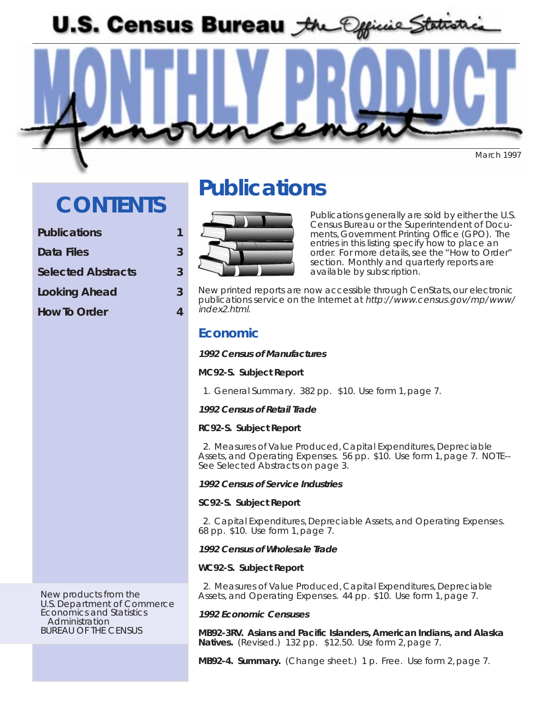U.S. Census Bureau *the Official Statistic* 

March 1997

## **CONTENTS**

#### **Publications 1**

- **Data Files 3**
- **Selected Abstracts 3**
- **Looking Ahead 3**
- **How To Order 4**

## **Publications**



Publications generally are sold by either the U.S. Census Bureau or the Superintendent of Documents, Government Printing Office (GPO). The entries in this listing specify how to place an order. For more details, see the "How to Order" section. Monthly and quarterly reports are available by subscription.

New printed reports are now accessible through CenStats, our electronic publications service on the Internet at http://www.census.gov/mp/www/ index2.html.

## **Economic**

#### **1992 Census of Manufactures**

#### **MC92-S. Subject Report**

1. General Summary. 382 pp. \$10. Use form 1, page 7.

#### **1992 Census of Retail Trade**

#### **RC92-S. Subject Report**

 2. Measures of Value Produced, Capital Expenditures, Depreciable Assets, and Operating Expenses. 56 pp. \$10. Use form 1, page 7. NOTE-- See Selected Abstracts on page 3.

#### **1992 Census of Service Industries**

#### **SC92-S. Subject Report**

 2. Capital Expenditures, Depreciable Assets, and Operating Expenses. 68 pp. \$10. Use form 1, page 7.

#### **1992 Census of Wholesale Trade**

#### **WC92-S. Subject Report**

 2. Measures of Value Produced, Capital Expenditures, Depreciable Assets, and Operating Expenses. 44 pp. \$10. Use form 1, page 7.

#### **1992 Economic Censuses**

**MB92-3RV. Asians and Pacific Islanders, American Indians, and Alaska Natives.** (Revised.)132 pp. \$12.50. Use form 2, page 7.

**MB92-4. Summary.** (Change sheet.) 1 p. Free.Use form 2, page 7.

New products from the U.S. Department of Commerce Economics and Statistics Administration BUREAU OF THE CENSUS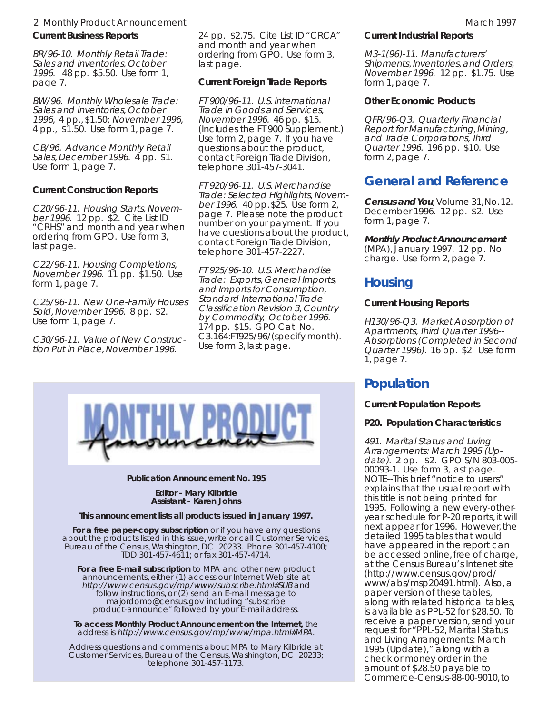#### 2 Monthly Product Announcement March 1997 (1997) 2 Monthly Product Announcement March 1997

### **Current Business Reports**

BR/96-10. Monthly Retail Trade: Sales and Inventories, October 1996. 48 pp. \$5.50. Use form 1, page 7.

BW/96. Monthly Wholesale Trade: Sales and Inventories, October 1996, 4 pp., \$1.50; November 1996, 4 pp., \$1.50. Use form 1, page 7.

CB/96. Advance Monthly Retail Sales, December 1996. 4 pp. \$1. Use form 1, page 7.

#### **Current Construction Reports**

C20/96-11. Housing Starts, November 1996. 12 pp. \$2. Cite List ID "CRHS" and month and year when ordering from GPO. Use form 3, last page.

C22/96-11. Housing Completions, November 1996. 11 pp. \$1.50. Use form 1, page 7.

C25/96-11. New One-Family Houses Sold, November 1996. 8 pp. \$2. Use form 1, page 7.

C30/96-11. Value of New Construction Put in Place, November 1996.

24 pp. \$2.75. Cite List ID "CRCA" and month and year when ordering from GPO. Use form 3, last page.

### **Current Foreign Trade Reports**

FT 900/96-11. U.S. International Trade in Goods and Services, November 1996. 46 pp. \$15. (Includes the FT 900 Supplement.) Use form 2, page 7. If you have questions about the product, contact Foreign Trade Division, telephone 301-457-3041.

FT 920/96-11. U.S. Merchandise Trade: Selected Highlights, November 1996. 40 pp. \$25. Use form 2, page 7. Please note the product number on your payment. If you have questions about the product, contact Foreign Trade Division, telephone 301-457-2227.

FT 925/96-10. U.S. Merchandise Trade: Exports, General Imports, and Imports for Consumption, Standard International Trade Classification Revision 3, Country by Commodity, October 1996. 174 pp. \$15. GPO Cat. No. C3.164:FT925/96/(specify month). Use form 3, last page.



#### **Publication Announcement No. 195**

**Editor - Mary Kilbride Assistant - Karen Johns**

#### **This announcement lists all products issued in January 1997.**

**For a free paper-copy subscription** or if you have any questions about the products listed in this issue, write or call Customer Services, Bureau of the Census, Washington, DC 20233. Phone 301-457-4100; TDD 301-457-4611; or fax 301-457-4714.

**For a free E-mail subscription** to MPA and other new product announcements, either (1) access our Internet Web site at http://www.census.gov/mp/www/subscribe.html#SUB and follow instructions, or (2) send an E-mail message to majordomo@census.gov including "subscribe product-announce" followed by your E-mail address.

**To access Monthly Product Announcement on the Internet,** the address is http://www.census.gov/mp/www/mpa.html#MPA.

Address questions and comments about MPA to Mary Kilbride at Customer Services, Bureau of the Census, Washington, DC 20233; telephone 301-457-1173.

#### **Current Industrial Reports**

M3-1(96)-11. Manufacturers' Shipments, Inventories, and Orders, November 1996. 12 pp. \$1.75. Use form 1, page 7.

#### **Other Economic Products**

QFR/96-Q3. Quarterly Financial Report for Manufacturing, Mining, and Trade Corporations, Third Quarter 1996. 196 pp. \$10. Use form 2, page 7.

### **General and Reference**

**Census and You**, Volume 31, No. 12. December 1996. 12 pp. \$2. Use form 1, page 7.

#### **Monthly Product Announcement**

(MPA), January 1997. 12 pp. No charge. Use form 2, page 7.

### **Housing**

#### **Current Housing Reports**

H130/96-Q3. Market Absorption of Apartments, Third Quarter 1996-- Absorptions (Completed in Second Quarter 1996). 16 pp. \$2. Use form 1, page 7.

### **Population**

#### **Current Population Reports**

#### **P20. Population Characteristics**

491. Marital Status and Living Arrangements: March 1995 (Update). 2 pp. \$2. GPO S/N 803-005- 00093-1. Use form 3, last page. NOTE--This brief "notice to users" explains that the usual report with this title is not being printed for 1995. Following a new every-otheryear schedule for P-20 reports, it will next appear for 1996. However, the detailed 1995 tables that would have appeared in the report can be accessed online, free of charge, at the Census Bureau's Intenet site (http://www.census.gov/prod/ www/abs/msp20491.html). Also, a paper version of these tables, along with related historical tables, is available as PPL-52 for \$28.50. To receive a paper version, send your request for "PPL-52, Marital Status and Living Arrangements: March 1995 (Update)," along with a check or money order in the amount of \$28.50 payable to Commerce-Census-88-00-9010, to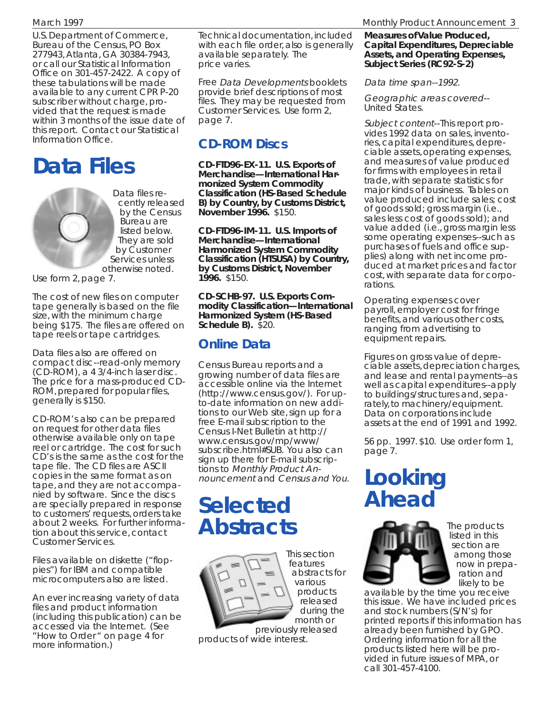U.S. Department of Commerce, Bureau of the Census, PO Box 277943, Atlanta, GA 30384-7943, or call our Statistical Information Office on 301-457-2422. A copy of these tabulations will be made available to any current CPR P-20 subscriber without charge, provided that the request is made within 3 months of the issue date of this report. Contact our Statistical Information Office.

## **Data Files**

Data files recently released by the Census Bureau are listed below. They are sold by Customer Services unless otherwise noted.

Use form 2, page 7.

The cost of new files on computer tape generally is based on the file size, with the minimum charge being \$175. The files are offered on tape reels or tape cartridges.

Data files also are offered on compact disc--read-only memory (CD-ROM), a 4 3/4-inch laser disc. The price for a mass-produced CD-ROM, prepared for popular files, generally is \$150.

CD-ROM's also can be prepared on request for other data files otherwise available only on tape reel or cartridge. The cost for such CD's is the same as the cost for the tape file. The CD files are ASCII copies in the same format as on tape, and they are not accompanied by software. Since the discs are specially prepared in response to customers' requests, orders take about 2 weeks. For further information about this service, contact Customer Services.

Files available on diskette ("floppies") for IBM and compatible microcomputers also are listed.

An ever increasing variety of data files and product information (including this publication) can be accessed via the Internet. (See "How to Order " on page 4 for more information.)

Technical documentation, included with each file order, also is generally available separately. The price varies.

Free Data Developments booklets provide brief descriptions of most files. They may be requested from Customer Services. Use form 2, page 7.

### **CD-ROM Discs**

**CD-FTD96-EX-11. U.S. Exports of Merchandise—International Harmonized System Commodity Classification (HS-Based Schedule B) by Country, by Customs District, November 1996.** \$150.

**CD-FTD96-IM-11. U.S. Imports of Merchandise—International Harmonized System Commodity Classification (HTSUSA) by Country, by Customs District, November 1996.** \$150.

**CD-SCHB-97. U.S. Exports Commodity Classification—International Harmonized System (HS-Based Schedule B).** \$20.

## **Online Data**

Census Bureau reports and a growing number of data files are accessible online via the Internet (http://www.census.gov/). For upto-date information on new additions to our Web site, sign up for a free E-mail subscription to the Census I-Net Bulletin at http:// www.census.gov/mp/www/ subscribe.html#SUB. You also can sign up there for E-mail subscriptions to Monthly Product Announcement and Census and You.

## **Selected Abstracts**



previously released products of wide interest.

#### March 1997 Monthly Product Announcement 3

**Measures of Value Produced, Capital Expenditures, Depreciable Assets, and Operating Expenses, Subject Series (RC92-S-2)**

Data time span--1992.

Geographic areas covered-- United States.

Subject content--This report provides 1992 data on sales, inventories, capital expenditures, depreciable assets, operating expenses, and measures of value produced for firms with employees in retail trade, with separate statistics for major kinds of business. Tables on value produced include sales; cost of goods sold; gross margin (i.e., sales less cost of goods sold); and value added (i.e., gross margin less some operating expenses--such as purchases of fuels and office supplies) along with net income produced at market prices and factor cost, with separate data for corporations.

Operating expenses cover payroll, employer cost for fringe benefits, and various other costs, ranging from advertising to equipment repairs.

Figures on gross value of depreciable assets, depreciation charges, and lease and rental payments--as well as capital expenditures--apply to buildings/structures and, separately, to machinery/equipment. Data on corporations include assets at the end of 1991 and 1992.

56 pp. 1997. \$10. Use order form 1, page 7.

## **Looking Ahead**



The products listed in this section are among those now in preparation and likely to be

available by the time you receive this issue. We have included prices and stock numbers (S/N's) for printed reports if this information has already been furnished by GPO. Ordering information for all the products listed here will be provided in future issues of MPA, or call 301-457-4100.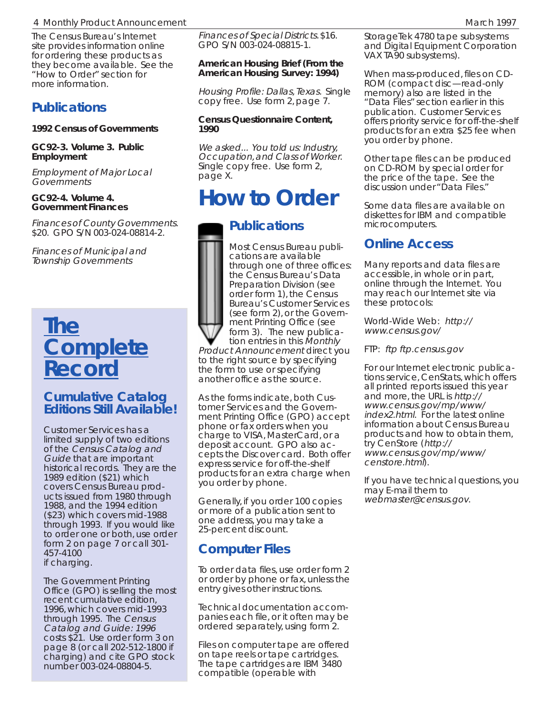#### 4 Monthly Product Announcement March 1997 (Announcement March 1997)

The Census Bureau's Internet site provides information online for ordering these products as they become available. See the "How to Order" section for more information.

### **Publications**

**1992 Census of Governments**

#### **GC92-3. Volume 3. Public Employment**

Employment of Major Local Governments

#### **GC92-4. Volume 4. Government Finances**

Finances of County Governments. \$20. GPO S/N 003-024-08814-2.

Finances of Municipal and Township Governments

## **The Complete Record**

### **Cumulative Catalog Editions Still Available!**

Customer Services has a limited supply of two editions of the Census Catalog and Guide that are important historical records. They are the 1989 edition (\$21) which covers Census Bureau products issued from 1980 through 1988, and the 1994 edition (\$23) which covers mid-1988 through 1993. If you would like to order one or both, use order form 2 on page 7 or call 301- 457-4100 if charging.

The Government Printing Office (GPO) is selling the most recent cumulative edition, 1996, which covers mid-1993 through 1995. The Census Catalog and Guide: 1996 costs \$21. Use order form 3 on page 8 (or call 202-512-1800 if charging) and cite GPO stock number 003-024-08804-5.

Finances of Special Districts. \$16. GPO S/N 003-024-08815-1.

#### **American Housing Brief (From the American Housing Survey: 1994)**

Housing Profile: Dallas, Texas. Single copy free. Use form 2, page 7.

#### **Census Questionnaire Content, 1990**

We asked... You told us: Industry, Occupation, and Class of Worker. Single copy free. Use form 2, page X.

## **How to Order**

## **Publications**

Most Census Bureau publications are available through one of three offices: the Census Bureau's Data Preparation Division (see order form 1), the Census Bureau's Customer Services (see form 2), or the Government Printing Office (see form 3). The new publication entries in this Monthly

Product Announcement direct you to the right source by specifying the form to use or specifying another office as the source.

As the forms indicate, both Customer Services and the Government Printing Office (GPO) accept phone or fax orders when you charge to VISA, MasterCard, or a deposit account. GPO also accepts the Discover card. Both offer express service for off-the-shelf products for an extra charge when you order by phone.

Generally, if you order 100 copies or more of a publication sent to one address, you may take a 25-percent discount.

## **Computer Files**

To order data files, use order form 2 or order by phone or fax, unless the entry gives other instructions.

Technical documentation accompanies each file, or it often may be ordered separately, using form 2.

Files on computer tape are offered on tape reels or tape cartridges. The tape cartridges are IBM 3480 compatible (operable with

StorageTek 4780 tape subsystems and Digital Equipment Corporation VAX TA90 subsystems).

When mass-produced, files on CD-ROM (compact disc—read-only memory) also are listed in the "Data Files" section earlier in this publication. Customer Services offers priority service for off-the-shelf products for an extra \$25 fee when you order by phone.

Other tape files can be produced on CD-ROM by special order for the price of the tape. See the discussion under "Data Files."

Some data files are available on diskettes for IBM and compatible microcomputers.

## **Online Access**

Many reports and data files are accessible, in whole or in part, online through the Internet. You may reach our Internet site via these protocols:

World-Wide Web: http:// www.census.gov/

FTP: ftp ftp.census.gov

For our Internet electronic publications service, CenStats, which offers all printed reports issued this year and more, the URL is http:// www.census.gov/mp/www/ index2.html. For the latest online information about Census Bureau products and how to obtain them, try CenStore (http:// www.census.gov/mp/www/ censtore.html).

If you have technical questions, you may E-mail them to webmaster@census.gov.

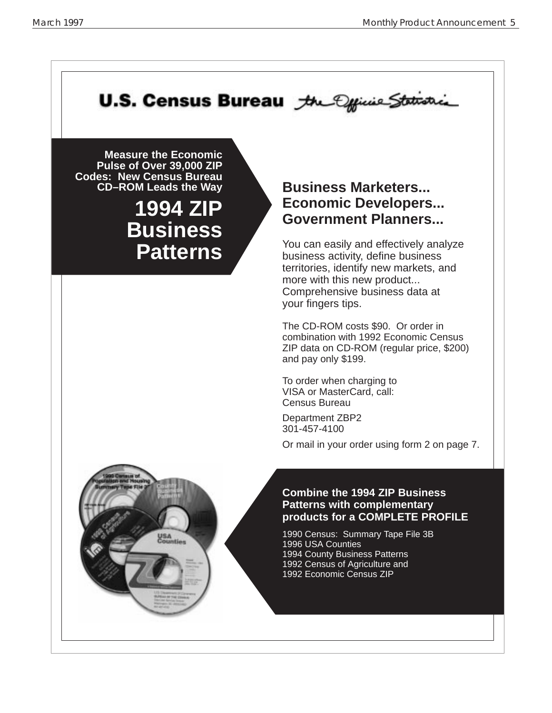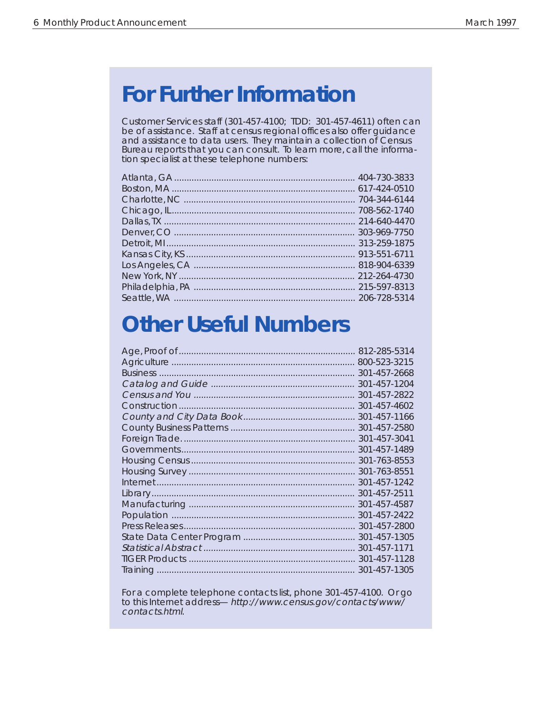## **For Further Information**

Customer Services staff (301-457-4100; TDD: 301-457-4611) often can be of assistance. Staff at census regional offices also offer guidance and assistance to data users. They maintain a collection of Census Bureau reports that you can consult. To learn more, call the information specialist at these telephone numbers:

# **Other Useful Numbers**

| 812-285-5314 |
|--------------|
| 800-523-3215 |
| 301-457-2668 |
| 301-457-1204 |
| 301-457-2822 |
| 301-457-4602 |
| 301-457-1166 |
| 301-457-2580 |
| 301-457-3041 |
| 301-457-1489 |
| 301-763-8553 |
| 301-763-8551 |
| 301-457-1242 |
| 301-457-2511 |
| 301-457-4587 |
| 301-457-2422 |
| 301-457-2800 |
| 301-457-1305 |
| 301-457-1171 |
| 301-457-1128 |
| 301-457-1305 |
|              |

For a complete telephone contacts list, phone 301-457-4100. Or go to this Internet address— http://www.census.gov/contacts/www/ contacts.html.